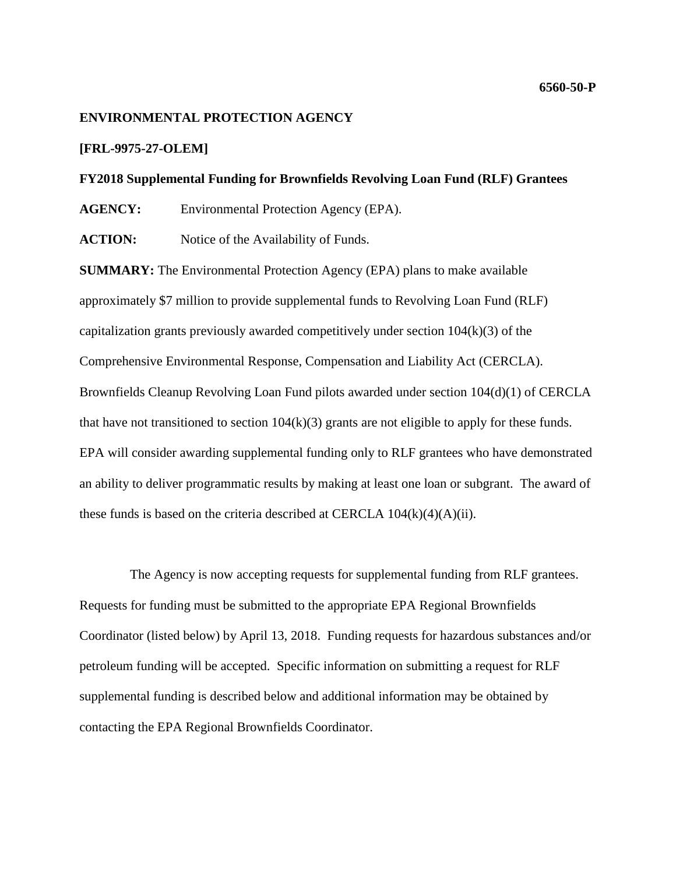# **ENVIRONMENTAL PROTECTION AGENCY**

# **[FRL-9975-27-OLEM]**

### **FY2018 Supplemental Funding for Brownfields Revolving Loan Fund (RLF) Grantees**

**AGENCY:** Environmental Protection Agency (EPA).

**ACTION:** Notice of the Availability of Funds.

**SUMMARY:** The Environmental Protection Agency (EPA) plans to make available approximately \$7 million to provide supplemental funds to Revolving Loan Fund (RLF) capitalization grants previously awarded competitively under section 104(k)(3) of the Comprehensive Environmental Response, Compensation and Liability Act (CERCLA). Brownfields Cleanup Revolving Loan Fund pilots awarded under section 104(d)(1) of CERCLA that have not transitioned to section  $104(k)(3)$  grants are not eligible to apply for these funds. EPA will consider awarding supplemental funding only to RLF grantees who have demonstrated an ability to deliver programmatic results by making at least one loan or subgrant. The award of these funds is based on the criteria described at CERCLA  $104(k)(4)(A)(ii)$ .

The Agency is now accepting requests for supplemental funding from RLF grantees. Requests for funding must be submitted to the appropriate EPA Regional Brownfields Coordinator (listed below) by April 13, 2018. Funding requests for hazardous substances and/or petroleum funding will be accepted. Specific information on submitting a request for RLF supplemental funding is described below and additional information may be obtained by contacting the EPA Regional Brownfields Coordinator.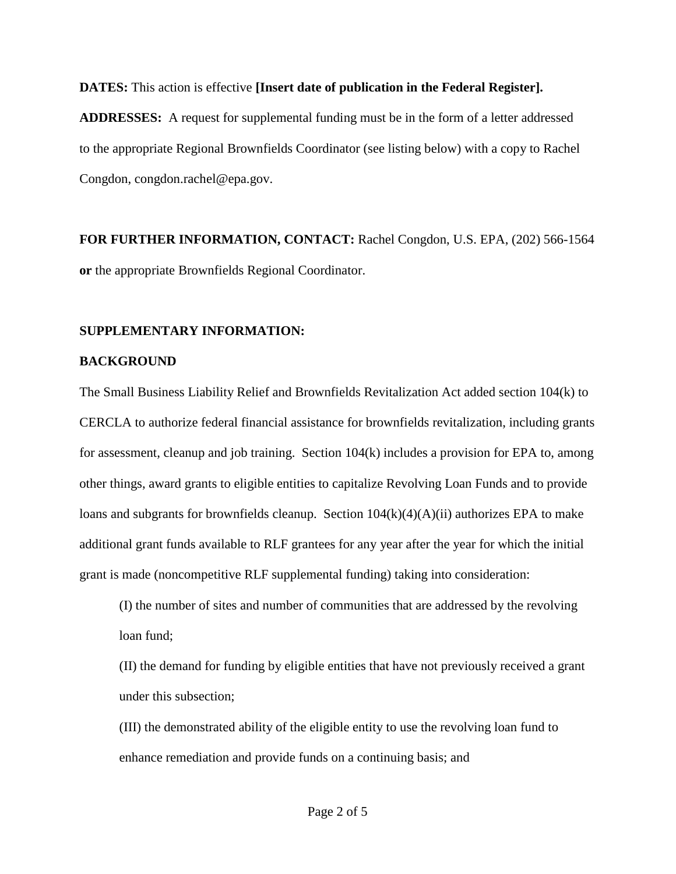**DATES:** This action is effective **[Insert date of publication in the Federal Register].**

**ADDRESSES:** A request for supplemental funding must be in the form of a letter addressed to the appropriate Regional Brownfields Coordinator (see listing below) with a copy to Rachel Congdon, congdon.rachel@epa.gov.

**FOR FURTHER INFORMATION, CONTACT:** Rachel Congdon, U.S. EPA, (202) 566-1564 **or** the appropriate Brownfields Regional Coordinator.

# **SUPPLEMENTARY INFORMATION:**

# **BACKGROUND**

The Small Business Liability Relief and Brownfields Revitalization Act added section 104(k) to CERCLA to authorize federal financial assistance for brownfields revitalization, including grants for assessment, cleanup and job training. Section 104(k) includes a provision for EPA to, among other things, award grants to eligible entities to capitalize Revolving Loan Funds and to provide loans and subgrants for brownfields cleanup. Section  $104(k)(4)(A)(ii)$  authorizes EPA to make additional grant funds available to RLF grantees for any year after the year for which the initial grant is made (noncompetitive RLF supplemental funding) taking into consideration:

(I) the number of sites and number of communities that are addressed by the revolving loan fund;

(II) the demand for funding by eligible entities that have not previously received a grant under this subsection;

(III) the demonstrated ability of the eligible entity to use the revolving loan fund to enhance remediation and provide funds on a continuing basis; and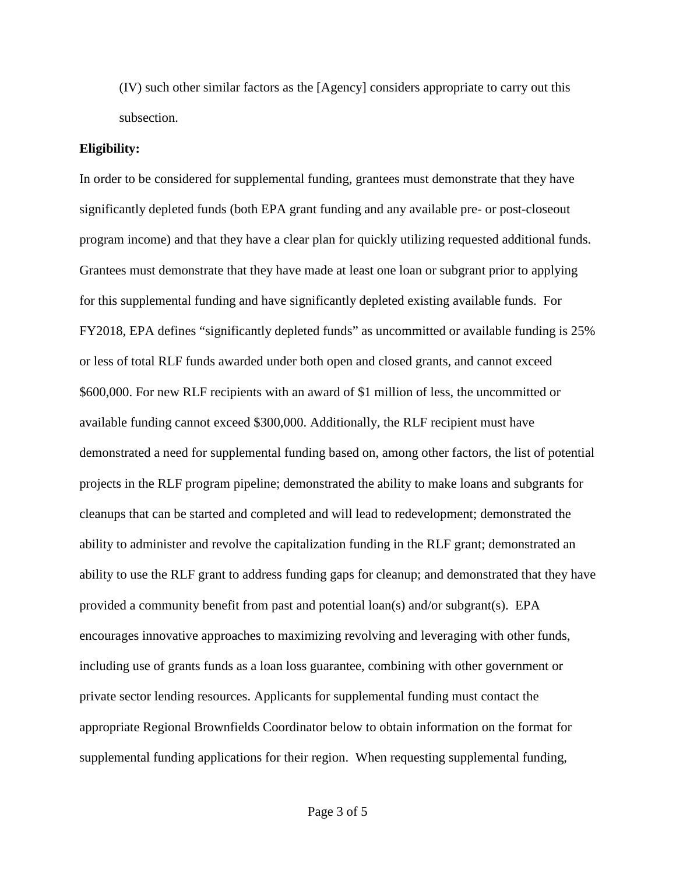(IV) such other similar factors as the [Agency] considers appropriate to carry out this subsection.

#### **Eligibility:**

In order to be considered for supplemental funding, grantees must demonstrate that they have significantly depleted funds (both EPA grant funding and any available pre- or post-closeout program income) and that they have a clear plan for quickly utilizing requested additional funds. Grantees must demonstrate that they have made at least one loan or subgrant prior to applying for this supplemental funding and have significantly depleted existing available funds. For FY2018, EPA defines "significantly depleted funds" as uncommitted or available funding is 25% or less of total RLF funds awarded under both open and closed grants, and cannot exceed \$600,000. For new RLF recipients with an award of \$1 million of less, the uncommitted or available funding cannot exceed \$300,000. Additionally, the RLF recipient must have demonstrated a need for supplemental funding based on, among other factors, the list of potential projects in the RLF program pipeline; demonstrated the ability to make loans and subgrants for cleanups that can be started and completed and will lead to redevelopment; demonstrated the ability to administer and revolve the capitalization funding in the RLF grant; demonstrated an ability to use the RLF grant to address funding gaps for cleanup; and demonstrated that they have provided a community benefit from past and potential loan(s) and/or subgrant(s). EPA encourages innovative approaches to maximizing revolving and leveraging with other funds, including use of grants funds as a loan loss guarantee, combining with other government or private sector lending resources. Applicants for supplemental funding must contact the appropriate Regional Brownfields Coordinator below to obtain information on the format for supplemental funding applications for their region. When requesting supplemental funding,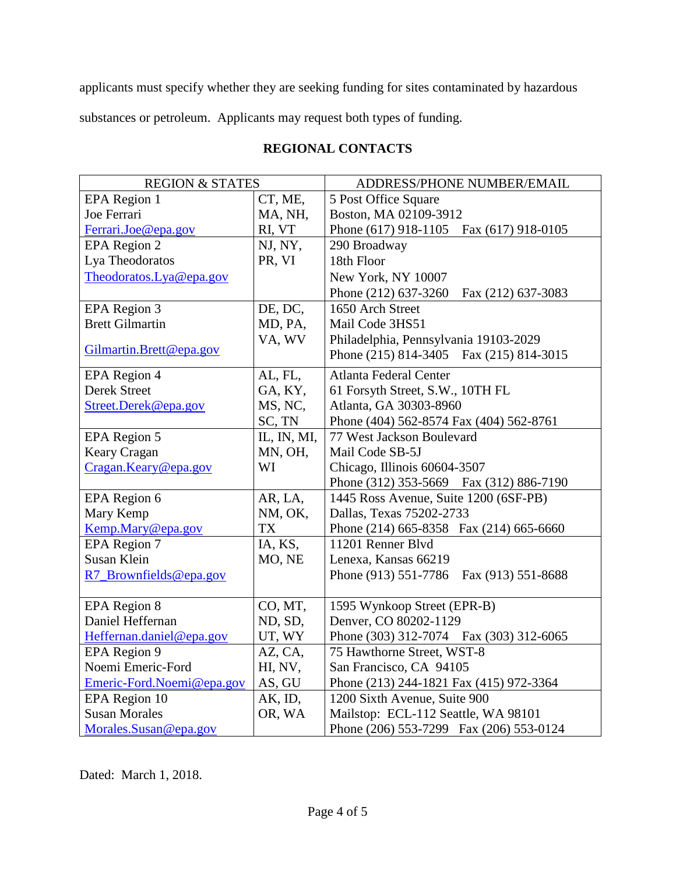applicants must specify whether they are seeking funding for sites contaminated by hazardous

substances or petroleum. Applicants may request both types of funding.

# **REGIONAL CONTACTS**

| <b>REGION &amp; STATES</b> |             | ADDRESS/PHONE NUMBER/EMAIL                 |
|----------------------------|-------------|--------------------------------------------|
| <b>EPA</b> Region 1        | CT, ME,     | 5 Post Office Square                       |
| Joe Ferrari                | MA, NH,     | Boston, MA 02109-3912                      |
| Ferrari.Joe@epa.gov        | RI, VT      | Phone (617) 918-1105  Fax (617) 918-0105   |
| EPA Region 2               | NJ, NY,     | 290 Broadway                               |
| Lya Theodoratos            | PR, VI      | 18th Floor                                 |
| Theodoratos.Lya@epa.gov    |             | New York, NY 10007                         |
|                            |             | Phone (212) 637-3260<br>Fax (212) 637-3083 |
| <b>EPA Region 3</b>        | DE, DC,     | 1650 Arch Street                           |
| <b>Brett Gilmartin</b>     | MD, PA,     | Mail Code 3HS51                            |
|                            | VA, WV      | Philadelphia, Pennsylvania 19103-2029      |
| Gilmartin.Brett@epa.gov    |             | Phone (215) 814-3405 Fax (215) 814-3015    |
| EPA Region 4               | AL, FL,     | Atlanta Federal Center                     |
| Derek Street               | GA, KY,     | 61 Forsyth Street, S.W., 10TH FL           |
| Street.Derek@epa.gov       | MS, NC,     | Atlanta, GA 30303-8960                     |
|                            | SC, TN      | Phone (404) 562-8574 Fax (404) 562-8761    |
| <b>EPA</b> Region 5        | IL, IN, MI, | 77 West Jackson Boulevard                  |
| Keary Cragan               | MN, OH,     | Mail Code SB-5J                            |
| Cragan.Keary@epa.gov       | WI          | Chicago, Illinois 60604-3507               |
|                            |             | Phone (312) 353-5669 Fax (312) 886-7190    |
| EPA Region 6               | AR, LA,     | 1445 Ross Avenue, Suite 1200 (6SF-PB)      |
| Mary Kemp                  | NM, OK,     | Dallas, Texas 75202-2733                   |
| Kemp.Mary@epa.gov          | <b>TX</b>   | Phone (214) 665-8358 Fax (214) 665-6660    |
| EPA Region 7               | IA, KS,     | 11201 Renner Blvd                          |
| Susan Klein                | MO, NE      | Lenexa, Kansas 66219                       |
| R7_Brownfields@epa.gov     |             | Phone (913) 551-7786<br>Fax (913) 551-8688 |
|                            |             |                                            |
| <b>EPA</b> Region 8        | CO, MT,     | 1595 Wynkoop Street (EPR-B)                |
| Daniel Heffernan           | ND, SD,     | Denver, CO 80202-1129                      |
| Heffernan.daniel@epa.gov   | UT, WY      | Phone (303) 312-7074 Fax (303) 312-6065    |
| <b>EPA Region 9</b>        | AZ, CA,     | 75 Hawthorne Street, WST-8                 |
| Noemi Emeric-Ford          | HI, NV,     | San Francisco, CA 94105                    |
| Emeric-Ford.Noemi@epa.gov  | AS, GU      | Phone (213) 244-1821 Fax (415) 972-3364    |
| EPA Region 10              | AK, ID,     | 1200 Sixth Avenue, Suite 900               |
| <b>Susan Morales</b>       | OR, WA      | Mailstop: ECL-112 Seattle, WA 98101        |
| Morales.Susan@epa.gov      |             | Phone (206) 553-7299 Fax (206) 553-0124    |

Dated: March 1, 2018.